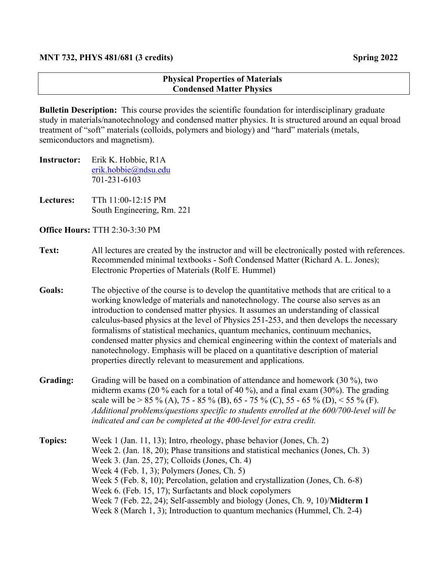## **Physical Properties of Materials Condensed Matter Physics**

**Bulletin Description:** This course provides the scientific foundation for interdisciplinary graduate study in materials/nanotechnology and condensed matter physics. It is structured around an equal broad treatment of "soft" materials (colloids, polymers and biology) and "hard" materials (metals, semiconductors and magnetism).

- **Instructor:** Erik K. Hobbie, R1A erik.hobbie@ndsu.edu 701-231-6103
- **Lectures:** TTh 11:00-12:15 PM South Engineering, Rm. 221

**Office Hours:** TTH 2:30-3:30 PM

- **Text:** All lectures are created by the instructor and will be electronically posted with references. Recommended minimal textbooks - Soft Condensed Matter (Richard A. L. Jones); Electronic Properties of Materials (Rolf E. Hummel)
- **Goals:** The objective of the course is to develop the quantitative methods that are critical to a working knowledge of materials and nanotechnology. The course also serves as an introduction to condensed matter physics. It assumes an understanding of classical calculus-based physics at the level of Physics 251-253, and then develops the necessary formalisms of statistical mechanics, quantum mechanics, continuum mechanics, condensed matter physics and chemical engineering within the context of materials and nanotechnology. Emphasis will be placed on a quantitative description of material properties directly relevant to measurement and applications.
- **Grading:** Grading will be based on a combination of attendance and homework (30 %), two midterm exams (20 % each for a total of 40 %), and a final exam (30%). The grading scale will be > 85 % (A), 75 - 85 % (B), 65 - 75 % (C), 55 - 65 % (D), < 55 % (F). *Additional problems/questions specific to students enrolled at the 600/700-level will be indicated and can be completed at the 400-level for extra credit.*
- **Topics:** Week 1 (Jan. 11, 13); Intro, rheology, phase behavior (Jones, Ch. 2) Week 2. (Jan. 18, 20); Phase transitions and statistical mechanics (Jones, Ch. 3) Week 3. (Jan. 25, 27); Colloids (Jones, Ch. 4) Week 4 (Feb. 1, 3); Polymers (Jones, Ch. 5) Week 5 (Feb. 8, 10); Percolation, gelation and crystallization (Jones, Ch. 6-8) Week 6. (Feb. 15, 17); Surfactants and block copolymers Week 7 (Feb. 22, 24); Self-assembly and biology (Jones, Ch. 9, 10)/**Midterm I** Week 8 (March 1, 3); Introduction to quantum mechanics (Hummel, Ch. 2-4)